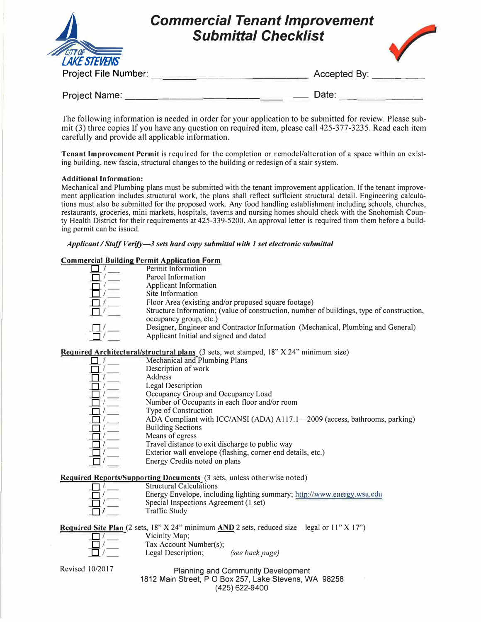|                                              | <b>Commercial Tenant Improvement</b><br><b>Submittal Checklist</b> |  |
|----------------------------------------------|--------------------------------------------------------------------|--|
| <b>LAKE STEVENS</b>                          |                                                                    |  |
| Project File Number:<br><b>Project Name:</b> | Accepted By:<br>Date:                                              |  |

The following information is needed in order for your application to be submitted for review. Please submit (3) three copies If you have any question on required item, please call 425-377-3235. Read each item carefully and provide all applicable information.

**Tenant Improvement Permit** is required for the completion or r emodel/alteration of a space within an existing building, new fascia, structural changes to the building or redesign of a stair system.

## **Additional Information:**

Mechanical and Plumbing plans must be submitted with the tenant improvement application. If the tenant improvement application includes structural work, the plans shall reflect sufficient structural detail. Engineering calculations must also be submitted for the proposed work. Any food handling establishment including schools, churches, restaurants, groceries, mini markets, hospitals, taverns and nursing homes should check with the Snohomish County Health District for their requirements at 425-339-5200. An approval letter is required from them before a building permit can be issued.

## *Applicant I Staff Verify-3 sets hard copy submittal with 1 set electronic submittal*

# **Commercial Building Permit Application Form**

| $\alpha$ clared building a control $\alpha$ point attivities of inter-                    |
|-------------------------------------------------------------------------------------------|
| Permit Information                                                                        |
| Parcel Information                                                                        |
| <b>Applicant Information</b>                                                              |
| Site Information                                                                          |
| Floor Area (existing and/or proposed square footage)                                      |
| Structure Information; (value of construction, number of buildings, type of construction, |
| occupancy group, etc.)                                                                    |
| Designer, Engineer and Contractor Information (Mechanical, Plumbing and General)          |
| Applicant Initial and signed and dated                                                    |
|                                                                                           |

**Required Architectural/structural plans** (3 sets, wet stamped, 18" X 24" minimum size)

| $\frac{1}{2}$                                                              |
|----------------------------------------------------------------------------|
| Mechanical and Plumbing Plans                                              |
| Description of work                                                        |
| Address                                                                    |
| Legal Description                                                          |
| Occupancy Group and Occupancy Load                                         |
| Number of Occupants in each floor and/or room                              |
| Type of Construction                                                       |
| ADA Compliant with ICC/ANSI (ADA) A117.1—2009 (access, bathrooms, parking) |
| <b>Building Sections</b>                                                   |
| Means of egress                                                            |
| Travel distance to exit discharge to public way                            |
| Exterior wall envelope (flashing, corner end details, etc.)                |
| Energy Credits noted on plans                                              |
|                                                                            |

**Required Reports/Supporting Documents** (3 sets, unless otherwise noted)

| <b>ired Reports/Supporting Documents</b> (3 sets, unless otherwise noted) |
|---------------------------------------------------------------------------|
| <b>Structural Calculations</b>                                            |
| Energy Envelope, including lighting summary; http://www.energy.wsu.edu    |
| Special Inspections Agreement (1 set)                                     |
| Traffic Study                                                             |

**Required Site Plan** (2 sets, 18" X 24" minimum **AND** 2 sets, reduced size—legal or 11" X 17")<br>  $\frac{\frac{1}{\sqrt{1}}}{\frac{1}{\sqrt{1}}}$  Tax Account Number(s);<br>
Legal Description; *(see back page)*  $\exists$  /  $\equiv$ Vicinity Map;<br>Tax Account Number(s);

## Revised 10/2017 Planning and Community Development 1812 Main Street, PO Box 257, Lake Stevens, WA 98258 (425) 622-9400